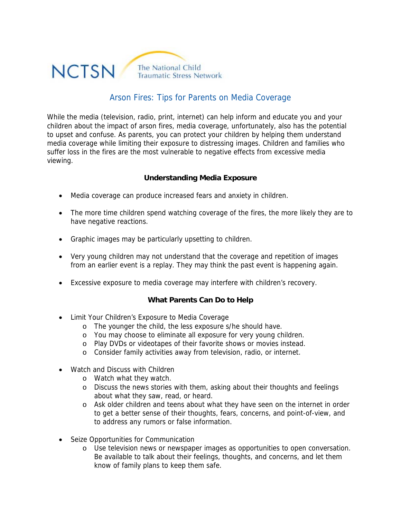

## Arson Fires: Tips for Parents on Media Coverage

While the media (television, radio, print, internet) can help inform and educate you and your children about the impact of arson fires, media coverage, unfortunately, also has the potential to upset and confuse. As parents, you can protect your children by helping them understand media coverage while limiting their exposure to distressing images. Children and families who suffer loss in the fires are the most vulnerable to negative effects from excessive media viewing.

## **Understanding Media Exposure**

- Media coverage can produce increased fears and anxiety in children.
- The more time children spend watching coverage of the fires, the more likely they are to have negative reactions.
- Graphic images may be particularly upsetting to children.
- Very young children may not understand that the coverage and repetition of images from an earlier event is a replay. They may think the past event is happening again.
- Excessive exposure to media coverage may interfere with children's recovery.

## **What Parents Can Do to Help**

- Limit Your Children's Exposure to Media Coverage
	- o The younger the child, the less exposure s/he should have.
	- o You may choose to eliminate all exposure for very young children.
	- o Play DVDs or videotapes of their favorite shows or movies instead.
	- o Consider family activities away from television, radio, or internet.
- Watch and Discuss with Children
	- o Watch what they watch.
	- o Discuss the news stories with them, asking about their thoughts and feelings about what they saw, read, or heard.
	- o Ask older children and teens about what they have seen on the internet in order to get a better sense of their thoughts, fears, concerns, and point-of-view, and to address any rumors or false information.
- Seize Opportunities for Communication
	- o Use television news or newspaper images as opportunities to open conversation. Be available to talk about their feelings, thoughts, and concerns, and let them know of family plans to keep them safe.